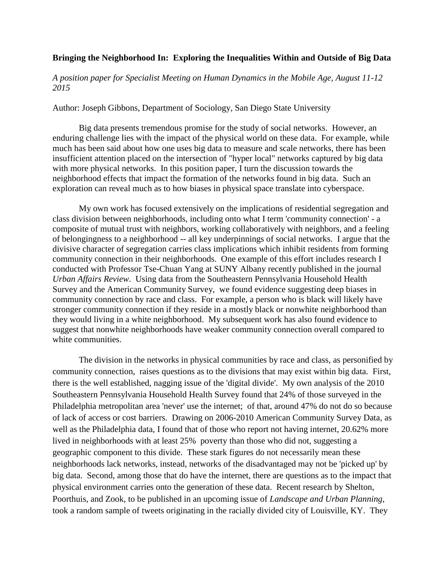## **Bringing the Neighborhood In: Exploring the Inequalities Within and Outside of Big Data**

*A position paper for Specialist Meeting on Human Dynamics in the Mobile Age, August 11-12 2015*

Author: Joseph Gibbons, Department of Sociology, San Diego State University

Big data presents tremendous promise for the study of social networks. However, an enduring challenge lies with the impact of the physical world on these data. For example, while much has been said about how one uses big data to measure and scale networks, there has been insufficient attention placed on the intersection of "hyper local" networks captured by big data with more physical networks. In this position paper, I turn the discussion towards the neighborhood effects that impact the formation of the networks found in big data. Such an exploration can reveal much as to how biases in physical space translate into cyberspace.

My own work has focused extensively on the implications of residential segregation and class division between neighborhoods, including onto what I term 'community connection' - a composite of mutual trust with neighbors, working collaboratively with neighbors, and a feeling of belongingness to a neighborhood -- all key underpinnings of social networks. I argue that the divisive character of segregation carries class implications which inhibit residents from forming community connection in their neighborhoods. One example of this effort includes research I conducted with Professor Tse-Chuan Yang at SUNY Albany recently published in the journal *Urban Affairs Review*. Using data from the Southeastern Pennsylvania Household Health Survey and the American Community Survey, we found evidence suggesting deep biases in community connection by race and class. For example, a person who is black will likely have stronger community connection if they reside in a mostly black or nonwhite neighborhood than they would living in a white neighborhood. My subsequent work has also found evidence to suggest that nonwhite neighborhoods have weaker community connection overall compared to white communities.

The division in the networks in physical communities by race and class, as personified by community connection, raises questions as to the divisions that may exist within big data. First, there is the well established, nagging issue of the 'digital divide'. My own analysis of the 2010 Southeastern Pennsylvania Household Health Survey found that 24% of those surveyed in the Philadelphia metropolitan area 'never' use the internet; of that, around 47% do not do so because of lack of access or cost barriers. Drawing on 2006-2010 American Community Survey Data, as well as the Philadelphia data, I found that of those who report not having internet, 20.62% more lived in neighborhoods with at least 25% poverty than those who did not, suggesting a geographic component to this divide. These stark figures do not necessarily mean these neighborhoods lack networks, instead, networks of the disadvantaged may not be 'picked up' by big data. Second, among those that do have the internet, there are questions as to the impact that physical environment carries onto the generation of these data. Recent research by Shelton, Poorthuis, and Zook, to be published in an upcoming issue of *Landscape and Urban Planning*, took a random sample of tweets originating in the racially divided city of Louisville, KY. They